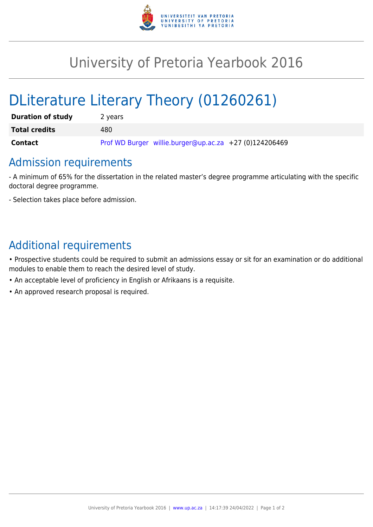

## University of Pretoria Yearbook 2016

# DLiterature Literary Theory (01260261)

| <b>Duration of study</b> | 2 years                                                |
|--------------------------|--------------------------------------------------------|
| <b>Total credits</b>     | 480                                                    |
| <b>Contact</b>           | Prof WD Burger willie.burger@up.ac.za +27 (0)124206469 |

### Admission requirements

- A minimum of 65% for the dissertation in the related master's degree programme articulating with the specific doctoral degree programme.

- Selection takes place before admission.

### Additional requirements

• Prospective students could be required to submit an admissions essay or sit for an examination or do additional modules to enable them to reach the desired level of study.

- An acceptable level of proficiency in English or Afrikaans is a requisite.
- An approved research proposal is required.